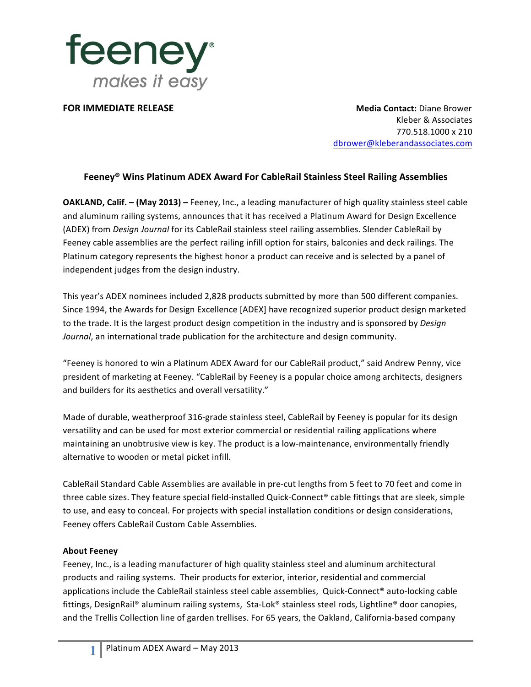

**FOR IMMEDIATE RELEASE Media Contact:** Diane Brower Kleber & Associates 770.518.1000 x 210 dbrower@kleberandassociates.com

## **Feeney® Wins Platinum ADEX Award For CableRail Stainless Steel Railing Assemblies**

**OAKLAND, Calif.** – (May 2013) – Feeney, Inc., a leading manufacturer of high quality stainless steel cable and aluminum railing systems, announces that it has received a Platinum Award for Design Excellence (ADEX) from *Design Journal* for its CableRail stainless steel railing assemblies. Slender CableRail by Feeney cable assemblies are the perfect railing infill option for stairs, balconies and deck railings. The Platinum category represents the highest honor a product can receive and is selected by a panel of independent judges from the design industry.

This year's ADEX nominees included 2,828 products submitted by more than 500 different companies. Since 1994, the Awards for Design Excellence [ADEX] have recognized superior product design marketed to the trade. It is the largest product design competition in the industry and is sponsored by *Design Journal*, an international trade publication for the architecture and design community.

"Feeney is honored to win a Platinum ADEX Award for our CableRail product," said Andrew Penny, vice president of marketing at Feeney. "CableRail by Feeney is a popular choice among architects, designers and builders for its aesthetics and overall versatility."

Made of durable, weatherproof 316-grade stainless steel, CableRail by Feeney is popular for its design versatility and can be used for most exterior commercial or residential railing applications where maintaining an unobtrusive view is key. The product is a low-maintenance, environmentally friendly alternative to wooden or metal picket infill.

CableRail Standard Cable Assemblies are available in pre-cut lengths from 5 feet to 70 feet and come in three cable sizes. They feature special field-installed Quick-Connect® cable fittings that are sleek, simple to use, and easy to conceal. For projects with special installation conditions or design considerations, Feeney offers CableRail Custom Cable Assemblies.

## **About Feeney**

Feeney, Inc., is a leading manufacturer of high quality stainless steel and aluminum architectural products and railing systems. Their products for exterior, interior, residential and commercial applications include the CableRail stainless steel cable assemblies, Quick-Connect® auto-locking cable fittings, DesignRail® aluminum railing systems, Sta-Lok® stainless steel rods, Lightline® door canopies, and the Trellis Collection line of garden trellises. For 65 years, the Oakland, California-based company